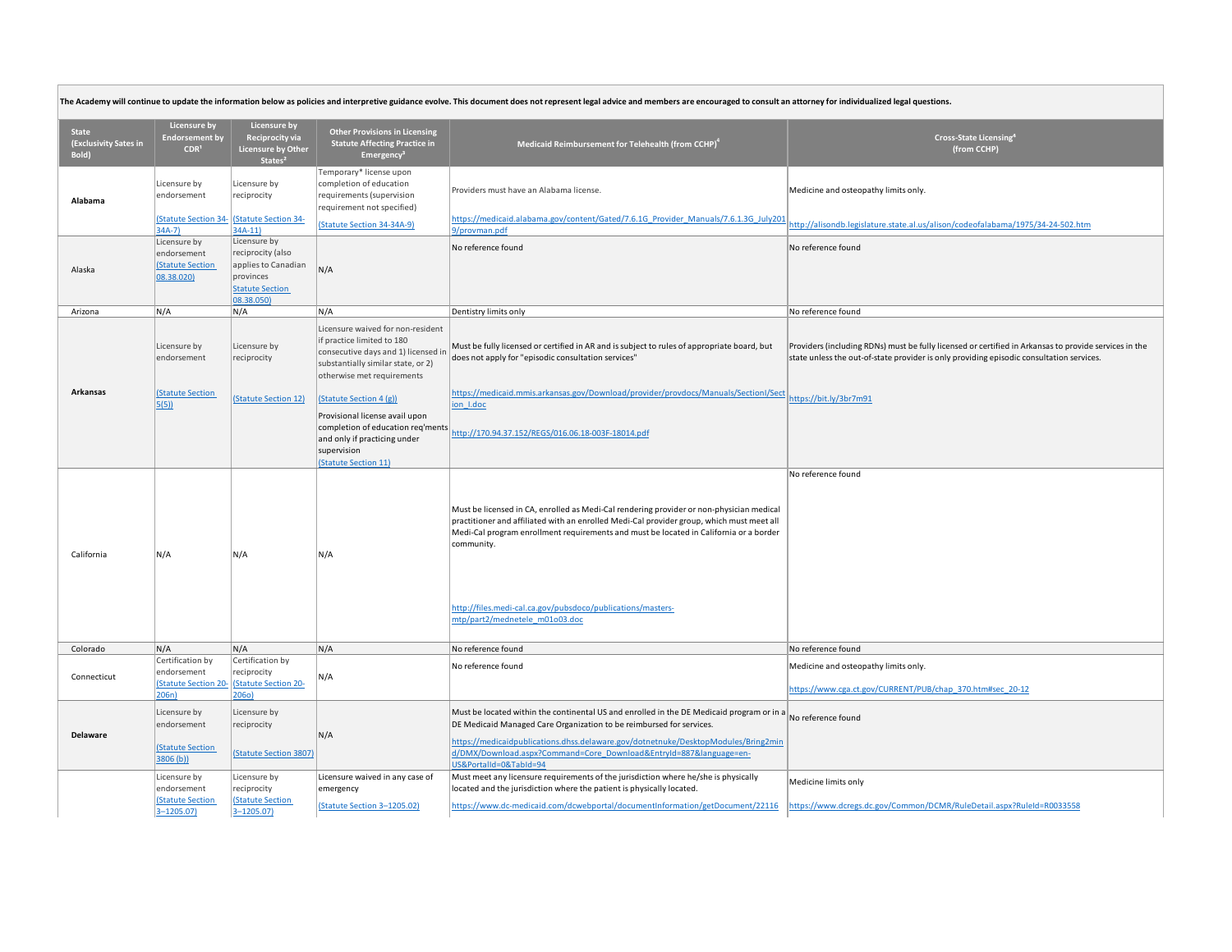| The Academy will continue to update the information below as policies and interpretive guidance evolve. This document does not represent legal advice and members are encouraged to consult an attorney for individualized leg |                                                                       |                                                                                                               |                                                                                                                                                                            |                                                                                                                                                                                                                                                                                                                                                                                                |                                                                                                                                                                                                   |  |
|--------------------------------------------------------------------------------------------------------------------------------------------------------------------------------------------------------------------------------|-----------------------------------------------------------------------|---------------------------------------------------------------------------------------------------------------|----------------------------------------------------------------------------------------------------------------------------------------------------------------------------|------------------------------------------------------------------------------------------------------------------------------------------------------------------------------------------------------------------------------------------------------------------------------------------------------------------------------------------------------------------------------------------------|---------------------------------------------------------------------------------------------------------------------------------------------------------------------------------------------------|--|
| <b>State</b><br>(Exclusivity Sates in<br>Bold)                                                                                                                                                                                 | <b>Licensure by</b><br><b>Endorsement by</b><br>CDR <sup>1</sup>      | <b>Licensure by</b><br>Reciprocity via<br><b>Licensure by Other</b><br>States <sup>2</sup>                    | <b>Other Provisions in Licensing</b><br><b>Statute Affecting Practice in</b><br>Emergency <sup>3</sup>                                                                     | Medicaid Reimbursement for Telehealth (from CCHP) <sup>4</sup>                                                                                                                                                                                                                                                                                                                                 | Cross-State Licensing <sup>4</sup><br>(from CCHP)                                                                                                                                                 |  |
| Alabama                                                                                                                                                                                                                        | Licensure by<br>endorsement<br><b>(Statute Section 34-</b><br>$34A-7$ | Licensure by<br>reciprocity<br>(Statute Section 34-<br>$34A-11$                                               | Temporary* license upon<br>completion of education<br>requirements (supervision<br>requirement not specified)<br>(Statute Section 34-34A-9)                                | Providers must have an Alabama license.<br>https://medicaid.alabama.gov/content/Gated/7.6.1G Provider Manuals/7.6.1.3G July201<br>9/provman.pdf                                                                                                                                                                                                                                                | Medicine and osteopathy limits only.<br>ttp://alisondb.legislature.state.al.us/alison/codeofalabama/1975/34-24-502.htm                                                                            |  |
| Alaska                                                                                                                                                                                                                         | Licensure by<br>endorsement<br><b>(Statute Section</b><br>08.38.020)  | Licensure by<br>reciprocity (also<br>applies to Canadian<br>provinces<br><b>Statute Section</b><br>08.38.050) | N/A                                                                                                                                                                        | No reference found                                                                                                                                                                                                                                                                                                                                                                             | No reference found                                                                                                                                                                                |  |
| Arizona                                                                                                                                                                                                                        | N/A                                                                   | N/A                                                                                                           | N/A                                                                                                                                                                        | Dentistry limits only                                                                                                                                                                                                                                                                                                                                                                          | No reference found                                                                                                                                                                                |  |
|                                                                                                                                                                                                                                | Licensure by<br>endorsement                                           | Licensure by<br>reciprocity                                                                                   | Licensure waived for non-resident<br>if practice limited to 180<br>consecutive days and 1) licensed in<br>substantially similar state, or 2)<br>otherwise met requirements | Must be fully licensed or certified in AR and is subject to rules of appropriate board, but<br>does not apply for "episodic consultation services"                                                                                                                                                                                                                                             | Providers (including RDNs) must be fully licensed or certified in Arkansas to provide services in the<br>state unless the out-of-state provider is only providing episodic consultation services. |  |
| Arkansas                                                                                                                                                                                                                       | <b>(Statute Section</b><br>5(5)                                       | (Statute Section 12)                                                                                          | (Statute Section 4 (g))<br>Provisional license avail upon<br>completion of education req'ments<br>and only if practicing under<br>supervision<br>(Statute Section 11)      | https://medicaid.mmis.arkansas.gov/Download/provider/provdocs/Manuals/SectionI/Sect<br>ion I.doc<br>http://170.94.37.152/REGS/016.06.18-003F-18014.pdf                                                                                                                                                                                                                                         | https://bit.ly/3br7m91                                                                                                                                                                            |  |
| California                                                                                                                                                                                                                     | N/A                                                                   | N/A                                                                                                           | N/A                                                                                                                                                                        | Must be licensed in CA, enrolled as Medi-Cal rendering provider or non-physician medical<br>practitioner and affiliated with an enrolled Medi-Cal provider group, which must meet all<br>Medi-Cal program enrollment requirements and must be located in California or a border<br>community.<br>http://files.medi-cal.ca.gov/pubsdoco/publications/masters-<br>mtp/part2/mednetele m01o03.doc | No reference found                                                                                                                                                                                |  |
| Colorado                                                                                                                                                                                                                       | N/A                                                                   | N/A                                                                                                           | N/A                                                                                                                                                                        | No reference found                                                                                                                                                                                                                                                                                                                                                                             | No reference found                                                                                                                                                                                |  |
| Connecticut                                                                                                                                                                                                                    | Certification by<br>endorsement<br>(Statute Section 20<br>206n        | Certification by<br>reciprocity<br><b>(Statute Section 20-</b><br>206o)                                       | N/A                                                                                                                                                                        | No reference found                                                                                                                                                                                                                                                                                                                                                                             | Medicine and osteopathy limits only.<br>https://www.cga.ct.gov/CURRENT/PUB/chap 370.htm#sec 20-12                                                                                                 |  |
| <b>Delaware</b>                                                                                                                                                                                                                | Licensure by<br>endorsement<br><b>(Statute Section</b><br>3806 (b))   | Licensure by<br>reciprocity<br>(Statute Section 3807)                                                         | N/A                                                                                                                                                                        | Must be located within the continental US and enrolled in the DE Medicaid program or in a No reference found<br>DE Medicaid Managed Care Organization to be reimbursed for services.<br>https://medicaidpublications.dhss.delaware.gov/dotnetnuke/DesktopModules/Bring2min<br>d/DMX/Download.aspx?Command=Core Download&EntryId=887&language=en-<br>US&PortalId=0&TabId=94                     |                                                                                                                                                                                                   |  |
|                                                                                                                                                                                                                                | Licensure by<br>endorsement<br>(Statute Section<br>$3 - 1205.07$      | Licensure by<br>reciprocity<br><b>Statute Section</b><br>$3 - 1205.07$                                        | Licensure waived in any case of<br>emergency<br>(Statute Section 3-1205.02)                                                                                                | Must meet any licensure requirements of the jurisdiction where he/she is physically<br>located and the jurisdiction where the patient is physically located.<br>https://www.dc-medicaid.com/dcwebportal/documentInformation/getDocument/22116                                                                                                                                                  | Medicine limits only<br>https://www.dcregs.dc.gov/Common/DCMR/RuleDetail.aspx?RuleId=R0033558                                                                                                     |  |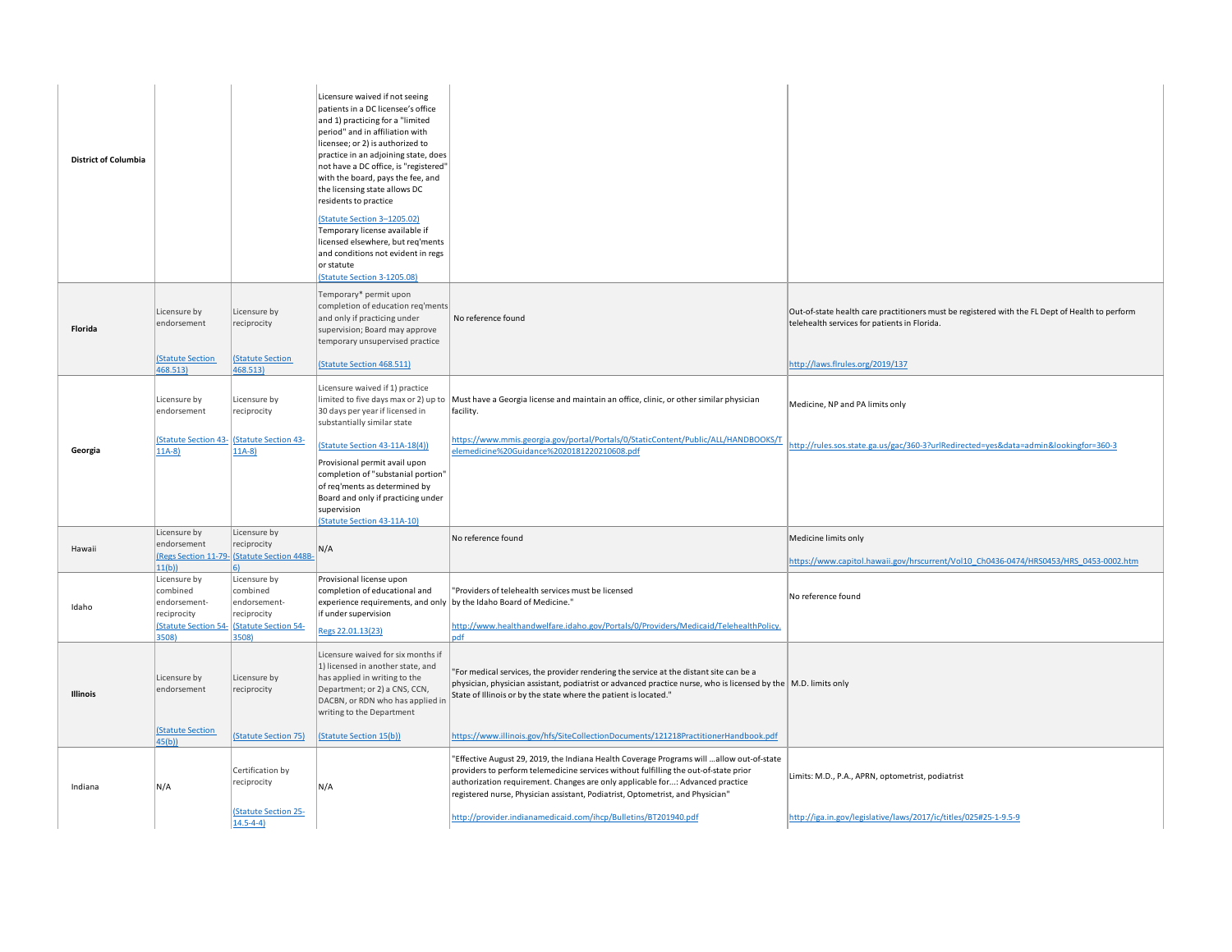| <b>District of Columbia</b> |                                                                                                 |                                                                                                | Licensure waived if not seeing<br>patients in a DC licensee's office<br>and 1) practicing for a "limited<br>period" and in affiliation with<br>licensee; or 2) is authorized to<br>practice in an adjoining state, does<br>not have a DC office, is "registered"<br>with the board, pays the fee, and<br>the licensing state allows DC<br>residents to practice<br>(Statute Section 3-1205.02)<br>Temporary license available if<br>licensed elsewhere, but req'ments<br>and conditions not evident in regs<br>or statute<br>(Statute Section 3-1205.08) |                                                                                                                                                                                                                                                                                                                                                                                                                         |                                                                                                                                                                                     |
|-----------------------------|-------------------------------------------------------------------------------------------------|------------------------------------------------------------------------------------------------|----------------------------------------------------------------------------------------------------------------------------------------------------------------------------------------------------------------------------------------------------------------------------------------------------------------------------------------------------------------------------------------------------------------------------------------------------------------------------------------------------------------------------------------------------------|-------------------------------------------------------------------------------------------------------------------------------------------------------------------------------------------------------------------------------------------------------------------------------------------------------------------------------------------------------------------------------------------------------------------------|-------------------------------------------------------------------------------------------------------------------------------------------------------------------------------------|
| Florida                     | Licensure by<br>endorsement<br><b>(Statute Section</b><br>468.513)                              | Licensure by<br>reciprocity<br>(Statute Section<br>468.513)                                    | Temporary* permit upon<br>completion of education req'ments<br>and only if practicing under<br>supervision; Board may approve<br>temporary unsupervised practice<br>(Statute Section 468.511)                                                                                                                                                                                                                                                                                                                                                            | No reference found                                                                                                                                                                                                                                                                                                                                                                                                      | Out-of-state health care practitioners must be registered with the FL Dept of Health to perform<br>telehealth services for patients in Florida.<br>http://laws.flrules.org/2019/137 |
| Georgia                     | Licensure by<br>endorsement<br>$11A-8$                                                          | Licensure by<br>reciprocity<br><b>(Statute Section 43- (Statute Section 43-</b><br>$11A-8$     | Licensure waived if 1) practice<br>limited to five days max or 2) up to<br>30 days per year if licensed in<br>substantially similar state<br>Statute Section 43-11A-18(4))                                                                                                                                                                                                                                                                                                                                                                               | Must have a Georgia license and maintain an office, clinic, or other similar physician<br>facility.<br>https://www.mmis.georgia.gov/portal/Portals/0/StaticContent/Public/ALL/HANDBOOKS/T<br>elemedicine%20Guidance%2020181220210608.pdf                                                                                                                                                                                | Medicine, NP and PA limits only<br>http://rules.sos.state.ga.us/gac/360-3?urlRedirected=yes&data=admin&lookingfor=360-3                                                             |
|                             |                                                                                                 |                                                                                                | Provisional permit avail upon<br>completion of "substanial portion"<br>of req'ments as determined by<br>Board and only if practicing under<br>supervision<br><b>Statute Section 43-11A-10)</b>                                                                                                                                                                                                                                                                                                                                                           |                                                                                                                                                                                                                                                                                                                                                                                                                         |                                                                                                                                                                                     |
| Hawaii                      | Licensure by<br>endorsement<br>11(b)                                                            | Licensure by<br>reciprocity<br>(Regs Section 11-79- (Statute Section 448B-<br><b>6)</b>        | N/A                                                                                                                                                                                                                                                                                                                                                                                                                                                                                                                                                      | No reference found                                                                                                                                                                                                                                                                                                                                                                                                      | Medicine limits only<br>https://www.capitol.hawaii.gov/hrscurrent/Vol10 Ch0436-0474/HRS0453/HRS 0453-0002.htm                                                                       |
| Idaho                       | Licensure by<br>combined<br>endorsement-<br>reciprocity<br><b>(Statute Section 54-</b><br>3508) | Licensure by<br>combined<br>endorsement-<br>reciprocity<br><b>Statute Section 54-</b><br>3508) | Provisional license upon<br>completion of educational and<br>experience requirements, and only<br>if under supervision<br>Regs 22.01.13(23)                                                                                                                                                                                                                                                                                                                                                                                                              | "Providers of telehealth services must be licensed<br>by the Idaho Board of Medicine."<br>http://www.healthandwelfare.idaho.gov/Portals/0/Providers/Medicaid/TelehealthPolicy.<br>odf                                                                                                                                                                                                                                   | No reference found                                                                                                                                                                  |
| <b>Illinois</b>             | Licensure by<br>endorsement<br><b>(Statute Section</b>                                          | Licensure by<br>reciprocity<br>(Statute Section 75)                                            | Licensure waived for six months if<br>1) licensed in another state, and<br>has applied in writing to the<br>Department; or 2) a CNS, CCN,<br>DACBN, or RDN who has applied in<br>writing to the Department<br>(Statute Section 15(b))                                                                                                                                                                                                                                                                                                                    | "For medical services, the provider rendering the service at the distant site can be a<br>physician, physician assistant, podiatrist or advanced practice nurse, who is licensed by the M.D. limits only<br>State of Illinois or by the state where the patient is located."<br>https://www.illinois.gov/hfs/SiteCollectionDocuments/121218PractitionerHandbook.pdf                                                     |                                                                                                                                                                                     |
| Indiana                     | 45(b)<br>N/A                                                                                    | Certification by<br>reciprocity<br>(Statute Section 25-<br>$14.5 - 4 - 4$                      | N/A                                                                                                                                                                                                                                                                                                                                                                                                                                                                                                                                                      | "Effective August 29, 2019, the Indiana Health Coverage Programs will  allow out-of-state<br>providers to perform telemedicine services without fulfilling the out-of-state prior<br>authorization requirement. Changes are only applicable for: Advanced practice<br>registered nurse, Physician assistant, Podiatrist, Optometrist, and Physician"<br>http://provider.indianamedicaid.com/ihcp/Bulletins/BT201940.pdf | Limits: M.D., P.A., APRN, optometrist, podiatrist<br>http://iga.in.gov/legislative/laws/2017/ic/titles/025#25-1-9.5-9                                                               |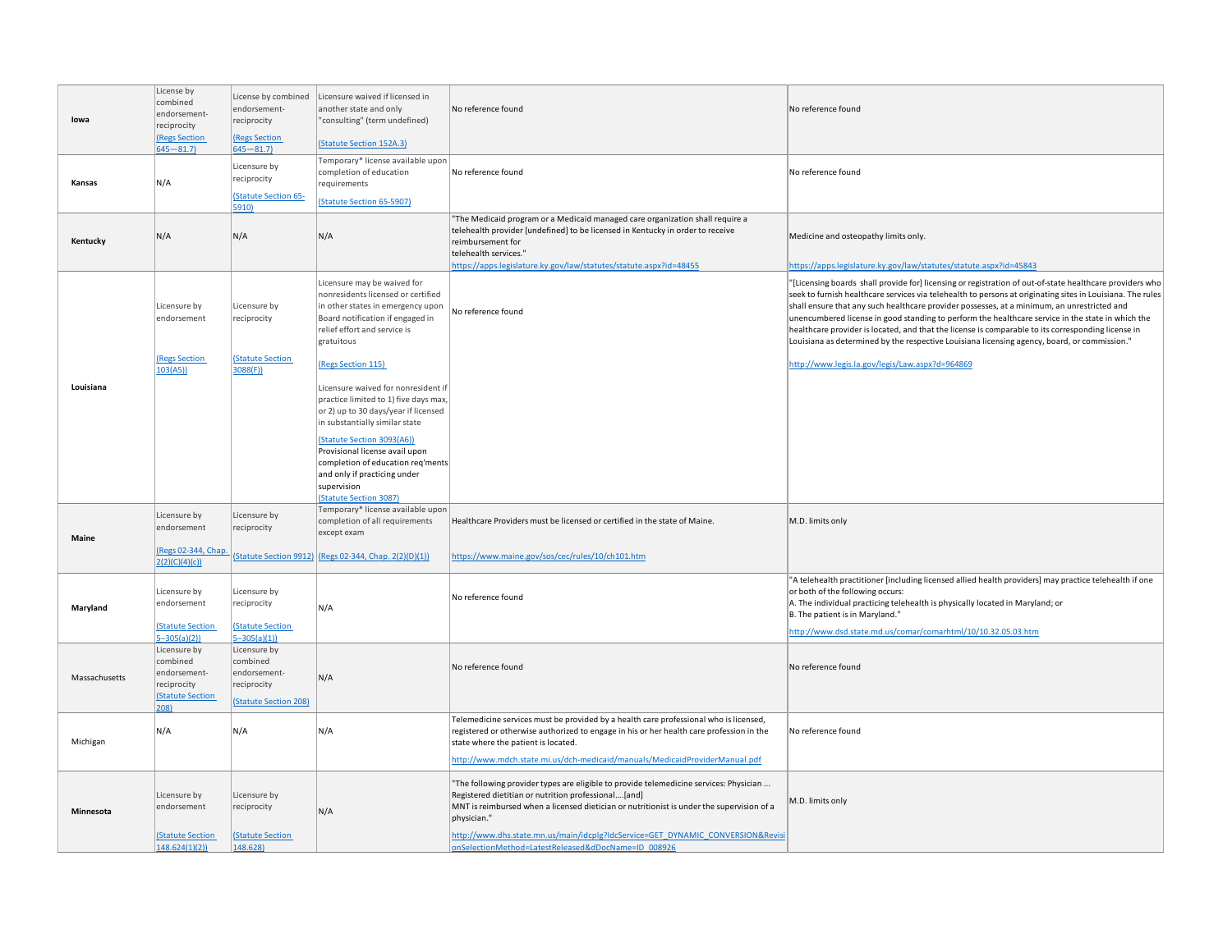| lowa          | License by<br>combined<br>endorsement-<br>reciprocity<br><b>(Regs Section</b><br>$645 - 81.7$ | License by combined<br>endorsement-<br>reciprocity<br>(Regs Section<br>$645 - 81.7$ | Licensure waived if licensed in<br>another state and only<br>"consulting" (term undefined)<br>(Statute Section 152A.3)                                                                                                                                                            | No reference found                                                                                                                                                                                                                                                                                      | No reference found                                                                                                                                                                                                                                                                                                                                                                                                                                                                                                                                                                                                               |
|---------------|-----------------------------------------------------------------------------------------------|-------------------------------------------------------------------------------------|-----------------------------------------------------------------------------------------------------------------------------------------------------------------------------------------------------------------------------------------------------------------------------------|---------------------------------------------------------------------------------------------------------------------------------------------------------------------------------------------------------------------------------------------------------------------------------------------------------|----------------------------------------------------------------------------------------------------------------------------------------------------------------------------------------------------------------------------------------------------------------------------------------------------------------------------------------------------------------------------------------------------------------------------------------------------------------------------------------------------------------------------------------------------------------------------------------------------------------------------------|
| Kansas        | N/A                                                                                           | Licensure by<br>reciprocity<br><b>Statute Section 65-</b><br>5910)                  | Temporary* license available upon<br>completion of education<br>requirements<br>(Statute Section 65-5907)                                                                                                                                                                         | No reference found                                                                                                                                                                                                                                                                                      | No reference found                                                                                                                                                                                                                                                                                                                                                                                                                                                                                                                                                                                                               |
| Kentucky      | N/A                                                                                           | N/A                                                                                 | N/A                                                                                                                                                                                                                                                                               | "The Medicaid program or a Medicaid managed care organization shall require a<br>telehealth provider [undefined] to be licensed in Kentucky in order to receive<br>reimbursement for<br>telehealth services."<br>https://apps.legislature.ky.gov/law/statutes/statute.aspx?id=48455                     | Medicine and osteopathy limits only.<br>https://apps.legislature.ky.gov/law/statutes/statute.aspx?id=45843                                                                                                                                                                                                                                                                                                                                                                                                                                                                                                                       |
|               | Licensure by<br>endorsement<br>(Regs Section                                                  | Licensure by<br>reciprocity<br>(Statute Section                                     | Licensure may be waived for<br>nonresidents licensed or certified<br>in other states in emergency upon<br>Board notification if engaged in<br>relief effort and service is<br>gratuitous                                                                                          | No reference found                                                                                                                                                                                                                                                                                      | "[Licensing boards shall provide for] licensing or registration of out-of-state healthcare providers who<br>seek to furnish healthcare services via telehealth to persons at originating sites in Louisiana. The rules<br>shall ensure that any such healthcare provider possesses, at a minimum, an unrestricted and<br>unencumbered license in good standing to perform the healthcare service in the state in which the<br>healthcare provider is located, and that the license is comparable to its corresponding license in<br>Louisiana as determined by the respective Louisiana licensing agency, board, or commission." |
| Louisiana     | 103(A5)                                                                                       | 3088(F)                                                                             | (Regs Section 115)<br>Licensure waived for nonresident if<br>practice limited to 1) five days max,<br>or 2) up to 30 days/year if licensed<br>in substantially similar state<br>(Statute Section 3093(A6))<br>Provisional license avail upon<br>completion of education reg'ments |                                                                                                                                                                                                                                                                                                         | http://www.legis.la.gov/legis/Law.aspx?d=964869                                                                                                                                                                                                                                                                                                                                                                                                                                                                                                                                                                                  |
|               |                                                                                               |                                                                                     | and only if practicing under<br>supervision<br>(Statute Section 3087)                                                                                                                                                                                                             |                                                                                                                                                                                                                                                                                                         |                                                                                                                                                                                                                                                                                                                                                                                                                                                                                                                                                                                                                                  |
| Maine         | Licensure by<br>endorsement<br>(Regs 02-344, Chap<br>2(2)(C)(4)(c))                           | Licensure by<br>reciprocity                                                         | Temporary* license available upon<br>completion of all requirements<br>except exam<br>(Statute Section 9912) (Regs 02-344, Chap. 2(2)(D)(1))                                                                                                                                      | Healthcare Providers must be licensed or certified in the state of Maine.<br>https://www.maine.gov/sos/cec/rules/10/ch101.htm                                                                                                                                                                           | M.D. limits only                                                                                                                                                                                                                                                                                                                                                                                                                                                                                                                                                                                                                 |
| Maryland      | Licensure by<br>endorsement<br><b>(Statute Section</b><br>$5 - 305(a)(2)$                     | Licensure by<br>reciprocity<br>(Statute Section<br>$5 - 305(a)(1)$                  | N/A                                                                                                                                                                                                                                                                               | No reference found                                                                                                                                                                                                                                                                                      | "A telehealth practitioner [including licensed allied health providers] may practice telehealth if one<br>or both of the following occurs:<br>A. The individual practicing telehealth is physically located in Maryland; or<br>B. The patient is in Maryland."<br>http://www.dsd.state.md.us/comar/comarhtml/10/10.32.05.03.htm                                                                                                                                                                                                                                                                                                  |
| Massachusetts | Licensure by<br>combined<br>endorsement-<br>reciprocity<br><b>(Statute Section</b><br>208)    | Licensure by<br>combined<br>endorsement-<br>reciprocity<br>(Statute Section 208)    | N/A                                                                                                                                                                                                                                                                               | No reference found                                                                                                                                                                                                                                                                                      | No reference found                                                                                                                                                                                                                                                                                                                                                                                                                                                                                                                                                                                                               |
| Michigan      | N/A                                                                                           | N/A                                                                                 | N/A                                                                                                                                                                                                                                                                               | Telemedicine services must be provided by a health care professional who is licensed,<br>registered or otherwise authorized to engage in his or her health care profession in the<br>state where the patient is located.<br>http://www.mdch.state.mi.us/dch-medicaid/manuals/MedicaidProviderManual.pdf | No reference found                                                                                                                                                                                                                                                                                                                                                                                                                                                                                                                                                                                                               |
| Minnesota     | Licensure by<br>endorsement                                                                   | Licensure by<br>reciprocity                                                         | N/A                                                                                                                                                                                                                                                                               | "The following provider types are eligible to provide telemedicine services: Physician<br>Registered dietitian or nutrition professional[and]<br>MNT is reimbursed when a licensed dietician or nutritionist is under the supervision of a<br>physician."                                               | M.D. limits only                                                                                                                                                                                                                                                                                                                                                                                                                                                                                                                                                                                                                 |
|               | <b>(Statute Section</b><br>148.624(1)(2)                                                      | (Statute Section<br>148.628)                                                        |                                                                                                                                                                                                                                                                                   | http://www.dhs.state.mn.us/main/idcplg?IdcService=GET_DYNAMIC_CONVERSION&Revisi<br>onSelectionMethod=LatestReleased&dDocName=ID 008926                                                                                                                                                                  |                                                                                                                                                                                                                                                                                                                                                                                                                                                                                                                                                                                                                                  |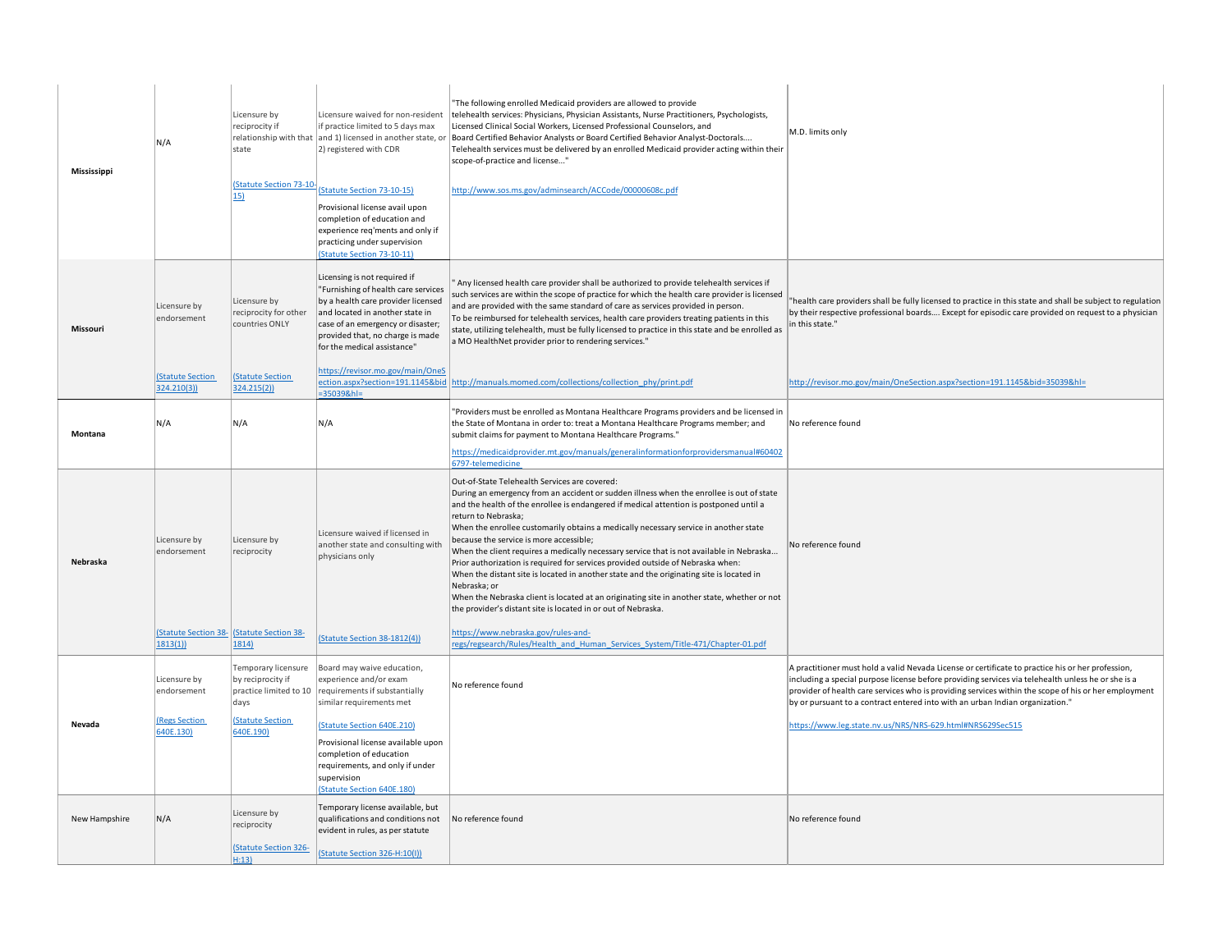| Mississippi   | N/A                                  | Licensure by<br>reciprocity if<br>state<br>(Statute Section 73-10-<br>15)  | Licensure waived for non-resident<br>if practice limited to 5 days max<br>relationship with that and 1) licensed in another state, or<br>2) registered with CDR<br>(Statute Section 73-10-15)<br>Provisional license avail upon<br>completion of education and<br>experience req'ments and only if<br>practicing under supervision<br>(Statute Section 73-10-11) | The following enrolled Medicaid providers are allowed to provide<br>telehealth services: Physicians, Physician Assistants, Nurse Practitioners, Psychologists,<br>Licensed Clinical Social Workers, Licensed Professional Counselors, and<br>Board Certified Behavior Analysts or Board Certified Behavior Analyst-Doctorals<br>Telehealth services must be delivered by an enrolled Medicaid provider acting within their<br>scope-of-practice and license"<br>http://www.sos.ms.gov/adminsearch/ACCode/00000608c.pdf                                                                                                                                                                                                                                                                                                                                   | M.D. limits only                                                                                                                                                                                                                                                                                                                                                                                 |
|---------------|--------------------------------------|----------------------------------------------------------------------------|------------------------------------------------------------------------------------------------------------------------------------------------------------------------------------------------------------------------------------------------------------------------------------------------------------------------------------------------------------------|----------------------------------------------------------------------------------------------------------------------------------------------------------------------------------------------------------------------------------------------------------------------------------------------------------------------------------------------------------------------------------------------------------------------------------------------------------------------------------------------------------------------------------------------------------------------------------------------------------------------------------------------------------------------------------------------------------------------------------------------------------------------------------------------------------------------------------------------------------|--------------------------------------------------------------------------------------------------------------------------------------------------------------------------------------------------------------------------------------------------------------------------------------------------------------------------------------------------------------------------------------------------|
| Missouri      | Licensure by<br>endorsement          | Licensure by<br>reciprocity for other<br>countries ONLY                    | Licensing is not required if<br>"Furnishing of health care services<br>by a health care provider licensed<br>and located in another state in<br>case of an emergency or disaster;<br>provided that, no charge is made<br>for the medical assistance"                                                                                                             | Any licensed health care provider shall be authorized to provide telehealth services if<br>such services are within the scope of practice for which the health care provider is licensed<br>and are provided with the same standard of care as services provided in person.<br>To be reimbursed for telehealth services, health care providers treating patients in this<br>state, utilizing telehealth, must be fully licensed to practice in this state and be enrolled as<br>a MO HealthNet provider prior to rendering services."                                                                                                                                                                                                                                                                                                                    | health care providers shall be fully licensed to practice in this state and shall be subject to regulation<br>by their respective professional boards Except for episodic care provided on request to a physician<br>in this state."                                                                                                                                                             |
|               | <b>Statute Section</b><br>324.210(3) | <b>Statute Section</b><br>324.215(2)                                       | https://revisor.mo.gov/main/OneS<br>ection.aspx?section=191.1145&bid<br>$=350398 h =$                                                                                                                                                                                                                                                                            | http://manuals.momed.com/collections/collection_phy/print.pdf                                                                                                                                                                                                                                                                                                                                                                                                                                                                                                                                                                                                                                                                                                                                                                                            | http://revisor.mo.gov/main/OneSection.aspx?section=191.1145&bid=35039&hl=                                                                                                                                                                                                                                                                                                                        |
| Montana       | N/A                                  | N/A                                                                        | N/A                                                                                                                                                                                                                                                                                                                                                              | Providers must be enrolled as Montana Healthcare Programs providers and be licensed in<br>the State of Montana in order to: treat a Montana Healthcare Programs member; and<br>submit claims for payment to Montana Healthcare Programs."<br>https://medicaidprovider.mt.gov/manuals/generalinformationforprovidersmanual#60402                                                                                                                                                                                                                                                                                                                                                                                                                                                                                                                          | No reference found                                                                                                                                                                                                                                                                                                                                                                               |
|               |                                      |                                                                            |                                                                                                                                                                                                                                                                                                                                                                  | 6797-telemedicine                                                                                                                                                                                                                                                                                                                                                                                                                                                                                                                                                                                                                                                                                                                                                                                                                                        |                                                                                                                                                                                                                                                                                                                                                                                                  |
| Nebraska      | Licensure by<br>endorsement          | Licensure by<br>reciprocity                                                | Licensure waived if licensed in<br>another state and consulting with<br>physicians only                                                                                                                                                                                                                                                                          | Out-of-State Telehealth Services are covered:<br>During an emergency from an accident or sudden illness when the enrollee is out of state<br>and the health of the enrollee is endangered if medical attention is postponed until a<br>return to Nebraska;<br>When the enrollee customarily obtains a medically necessary service in another state<br>because the service is more accessible;<br>When the client requires a medically necessary service that is not available in Nebraska<br>Prior authorization is required for services provided outside of Nebraska when:<br>When the distant site is located in another state and the originating site is located in<br>Nebraska; or<br>When the Nebraska client is located at an originating site in another state, whether or not<br>the provider's distant site is located in or out of Nebraska. | No reference found                                                                                                                                                                                                                                                                                                                                                                               |
|               | 1813(1)                              | Statute Section 38- (Statute Section 38-<br>1814)                          | (Statute Section 38-1812(4))                                                                                                                                                                                                                                                                                                                                     | https://www.nebraska.gov/rules-and-<br>regs/regsearch/Rules/Health and Human Services System/Title-471/Chapter-01.pdf                                                                                                                                                                                                                                                                                                                                                                                                                                                                                                                                                                                                                                                                                                                                    |                                                                                                                                                                                                                                                                                                                                                                                                  |
|               | Licensure by<br>endorsement          | Temporary licensure<br>by reciprocity if<br>practice limited to 10<br>days | Board may waive education,<br>experience and/or exam<br>requirements if substantially<br>similar requirements met                                                                                                                                                                                                                                                | No reference found                                                                                                                                                                                                                                                                                                                                                                                                                                                                                                                                                                                                                                                                                                                                                                                                                                       | A practitioner must hold a valid Nevada License or certificate to practice his or her profession,<br>including a special purpose license before providing services via telehealth unless he or she is a<br>provider of health care services who is providing services within the scope of his or her employment<br>by or pursuant to a contract entered into with an urban Indian organization." |
| Nevada        | <b>Regs Section</b><br>640E.130)     | <b>Statute Section</b><br>640E.190)                                        | (Statute Section 640E.210)                                                                                                                                                                                                                                                                                                                                       |                                                                                                                                                                                                                                                                                                                                                                                                                                                                                                                                                                                                                                                                                                                                                                                                                                                          | https://www.leg.state.nv.us/NRS/NRS-629.html#NRS629Sec515                                                                                                                                                                                                                                                                                                                                        |
|               |                                      |                                                                            |                                                                                                                                                                                                                                                                                                                                                                  |                                                                                                                                                                                                                                                                                                                                                                                                                                                                                                                                                                                                                                                                                                                                                                                                                                                          |                                                                                                                                                                                                                                                                                                                                                                                                  |
|               |                                      |                                                                            | Provisional license available upon<br>completion of education<br>requirements, and only if under<br>supervision<br>(Statute Section 640E.180)                                                                                                                                                                                                                    |                                                                                                                                                                                                                                                                                                                                                                                                                                                                                                                                                                                                                                                                                                                                                                                                                                                          |                                                                                                                                                                                                                                                                                                                                                                                                  |
| New Hampshire | N/A                                  | Licensure by<br>reciprocity                                                | Temporary license available, but<br>qualifications and conditions not<br>evident in rules, as per statute                                                                                                                                                                                                                                                        | No reference found                                                                                                                                                                                                                                                                                                                                                                                                                                                                                                                                                                                                                                                                                                                                                                                                                                       | No reference found                                                                                                                                                                                                                                                                                                                                                                               |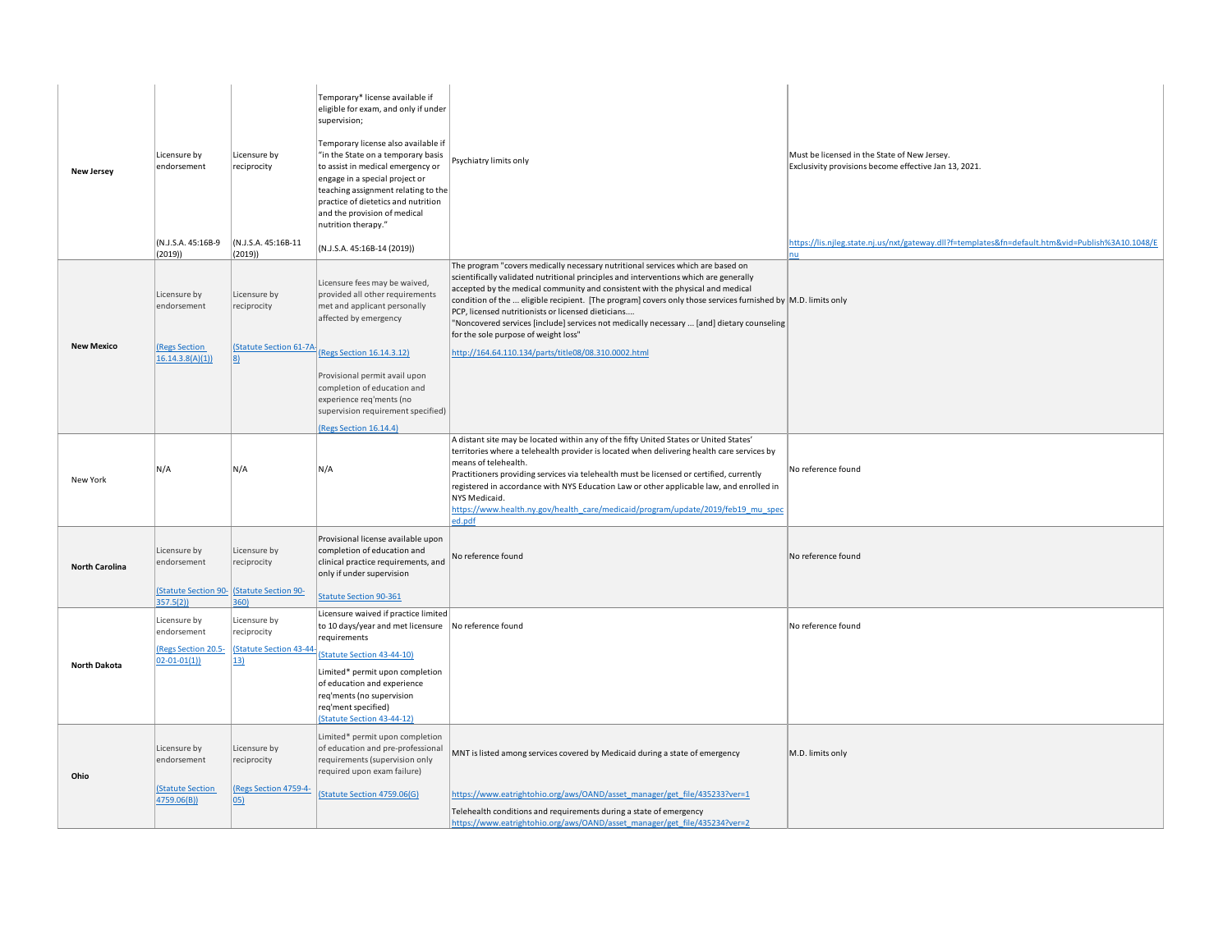| <b>New Jersey</b>     | Licensure by<br>endorsement<br>(N.J.S.A. 45:16B-9<br>(2019)                    | Licensure by<br>reciprocity<br>(N.J.S.A. 45:16B-11<br>(2019)       | Temporary* license available if<br>eligible for exam, and only if under<br>supervision;<br>Temporary license also available if<br>"in the State on a temporary basis<br>to assist in medical emergency or<br>engage in a special project or<br>teaching assignment relating to the<br>practice of dietetics and nutrition<br>and the provision of medical<br>nutrition therapy."<br>(N.J.S.A. 45:16B-14 (2019)) | Psychiatry limits only                                                                                                                                                                                                                                                                                                                                                                                                                                                                                                                                                                                                        | Must be licensed in the State of New Jersey.<br>Exclusivity provisions become effective Jan 13, 2021.<br>https://lis.njleg.state.nj.us/nxt/gateway.dll?f=templates&fn=default.htm&vid=Publish%3A10.1048/E<br>nu |
|-----------------------|--------------------------------------------------------------------------------|--------------------------------------------------------------------|-----------------------------------------------------------------------------------------------------------------------------------------------------------------------------------------------------------------------------------------------------------------------------------------------------------------------------------------------------------------------------------------------------------------|-------------------------------------------------------------------------------------------------------------------------------------------------------------------------------------------------------------------------------------------------------------------------------------------------------------------------------------------------------------------------------------------------------------------------------------------------------------------------------------------------------------------------------------------------------------------------------------------------------------------------------|-----------------------------------------------------------------------------------------------------------------------------------------------------------------------------------------------------------------|
| <b>New Mexico</b>     | Licensure by<br>endorsement<br><b>Regs Section</b><br>16.14.3.8(A)(1)          | Licensure by<br>reciprocity<br><b>Statute Section 61-7A-</b><br> 8 | Licensure fees may be waived,<br>provided all other requirements<br>met and applicant personally<br>affected by emergency<br>(Regs Section 16.14.3.12)                                                                                                                                                                                                                                                          | The program "covers medically necessary nutritional services which are based on<br>scientifically validated nutritional principles and interventions which are generally<br>accepted by the medical community and consistent with the physical and medical<br>condition of the  eligible recipient. [The program] covers only those services furnished by M.D. limits only<br>PCP, licensed nutritionists or licensed dieticians<br>"Noncovered services [include] services not medically necessary  [and] dietary counseling<br>for the sole purpose of weight loss"<br>http://164.64.110.134/parts/title08/08.310.0002.html |                                                                                                                                                                                                                 |
|                       |                                                                                |                                                                    | Provisional permit avail upon<br>completion of education and<br>experience reg'ments (no<br>supervision requirement specified)<br>(Regs Section 16.14.4)                                                                                                                                                                                                                                                        |                                                                                                                                                                                                                                                                                                                                                                                                                                                                                                                                                                                                                               |                                                                                                                                                                                                                 |
| New York              | N/A                                                                            | N/A                                                                | N/A                                                                                                                                                                                                                                                                                                                                                                                                             | A distant site may be located within any of the fifty United States or United States'<br>territories where a telehealth provider is located when delivering health care services by<br>means of telehealth.<br>Practitioners providing services via telehealth must be licensed or certified, currently<br>registered in accordance with NYS Education Law or other applicable law, and enrolled in<br>NYS Medicaid.<br>https://www.health.ny.gov/health_care/medicaid/program/update/2019/feb19_mu_spec<br>ed.pdf                                                                                                            | No reference found                                                                                                                                                                                              |
| <b>North Carolina</b> | Licensure by<br>endorsement<br><b>Statute Section 90-</b><br>357.5(2)          | Licensure by<br>reciprocity<br>(Statute Section 90-<br>360)        | Provisional license available upon<br>completion of education and<br>clinical practice requirements, and<br>only if under supervision<br><b>Statute Section 90-361</b>                                                                                                                                                                                                                                          | No reference found                                                                                                                                                                                                                                                                                                                                                                                                                                                                                                                                                                                                            | No reference found                                                                                                                                                                                              |
| <b>North Dakota</b>   | Licensure by<br>endorsement<br><b>(Regs Section 20.5-</b><br>$02 - 01 - 01(1)$ | Licensure by<br>reciprocity<br>(Statute Section 43-44<br>13)       | Licensure waived if practice limited<br>to 10 days/year and met licensure No reference found<br>requirements<br><b>Statute Section 43-44-10)</b><br>Limited* permit upon completion<br>of education and experience<br>req'ments (no supervision<br>req'ment specified)<br><b>Statute Section 43-44-12)</b>                                                                                                      |                                                                                                                                                                                                                                                                                                                                                                                                                                                                                                                                                                                                                               | No reference found                                                                                                                                                                                              |
| Ohio                  | Licensure by<br>endorsement<br><b>Statute Section</b><br>4759.06(B))           | Licensure by<br>reciprocity<br>(Regs Section 4759-4-<br>05)        | Limited* permit upon completion<br>of education and pre-professional<br>requirements (supervision only<br>required upon exam failure)<br>(Statute Section 4759.06(G)                                                                                                                                                                                                                                            | MNT is listed among services covered by Medicaid during a state of emergency<br>https://www.eatrightohio.org/aws/OAND/asset_manager/get_file/435233?ver=1                                                                                                                                                                                                                                                                                                                                                                                                                                                                     | M.D. limits only                                                                                                                                                                                                |
|                       |                                                                                |                                                                    |                                                                                                                                                                                                                                                                                                                                                                                                                 | Telehealth conditions and requirements during a state of emergency<br>https://www.eatrightohio.org/aws/OAND/asset manager/get file/435234?ver=2                                                                                                                                                                                                                                                                                                                                                                                                                                                                               |                                                                                                                                                                                                                 |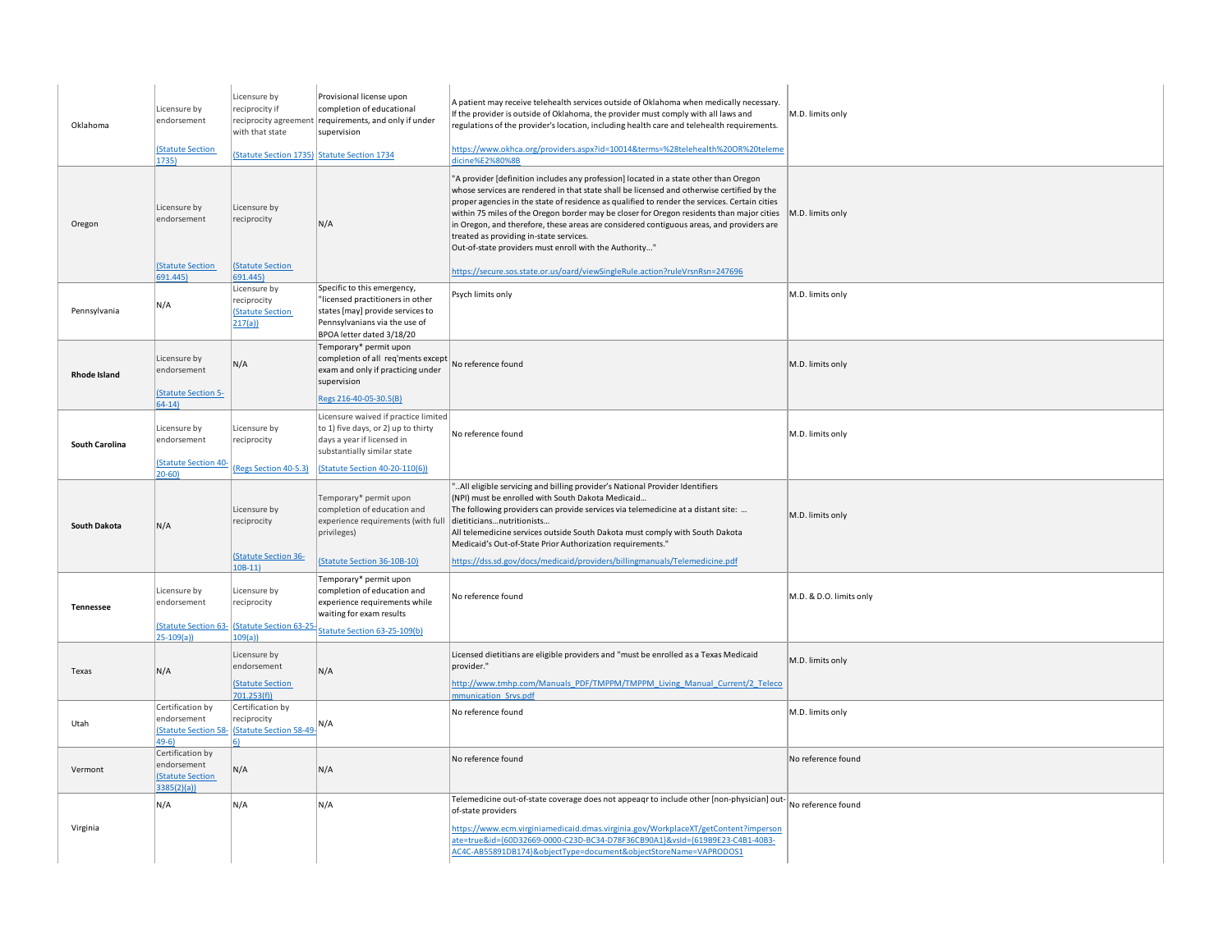| Oklahoma            | Licensure by<br>endorsement<br><b>(Statute Section</b><br>1735)          | Licensure by<br>reciprocity if<br>reciprocity agreement<br>with that state | Provisional license upon<br>completion of educational<br>requirements, and only if under<br>supervision<br>(Statute Section 1735) Statute Section 1734            | A patient may receive telehealth services outside of Oklahoma when medically necessary.<br>If the provider is outside of Oklahoma, the provider must comply with all laws and<br>regulations of the provider's location, including health care and telehealth requirements.<br>https://www.okhca.org/providers.aspx?id=10014&terms=%28telehealth%20OR%20teleme<br>dicine%E2%80%8B                                                                                                                                                                                                  | M.D. limits only        |
|---------------------|--------------------------------------------------------------------------|----------------------------------------------------------------------------|-------------------------------------------------------------------------------------------------------------------------------------------------------------------|------------------------------------------------------------------------------------------------------------------------------------------------------------------------------------------------------------------------------------------------------------------------------------------------------------------------------------------------------------------------------------------------------------------------------------------------------------------------------------------------------------------------------------------------------------------------------------|-------------------------|
| Oregon              | Licensure by<br>endorsement<br><b>(Statute Section</b>                   | Licensure by<br>reciprocity<br><b>(Statute Section</b>                     | N/A                                                                                                                                                               | "A provider [definition includes any profession] located in a state other than Oregon<br>whose services are rendered in that state shall be licensed and otherwise certified by the<br>proper agencies in the state of residence as qualified to render the services. Certain cities<br>within 75 miles of the Oregon border may be closer for Oregon residents than major cities<br>in Oregon, and therefore, these areas are considered contiguous areas, and providers are<br>treated as providing in-state services.<br>Out-of-state providers must enroll with the Authority" | M.D. limits only        |
|                     | 691.445)                                                                 | 691.445)                                                                   |                                                                                                                                                                   | https://secure.sos.state.or.us/oard/viewSingleRule.action?ruleVrsnRsn=247696                                                                                                                                                                                                                                                                                                                                                                                                                                                                                                       |                         |
| Pennsylvania        | N/A                                                                      | Licensure by<br>reciprocity<br><b>(Statute Section</b><br>217(a)           | Specific to this emergency,<br>"licensed practitioners in other<br>states [may] provide services to<br>Pennsylvanians via the use of<br>BPOA letter dated 3/18/20 | Psych limits only                                                                                                                                                                                                                                                                                                                                                                                                                                                                                                                                                                  | M.D. limits only        |
| <b>Rhode Island</b> | Licensure by<br>endorsement<br><b>(Statute Section 5-</b>                | N/A                                                                        | Temporary* permit upon<br>completion of all req'ments except<br>exam and only if practicing under<br>supervision<br>Regs 216-40-05-30.5(B)                        | No reference found                                                                                                                                                                                                                                                                                                                                                                                                                                                                                                                                                                 | M.D. limits only        |
|                     | $64-14$                                                                  |                                                                            |                                                                                                                                                                   |                                                                                                                                                                                                                                                                                                                                                                                                                                                                                                                                                                                    |                         |
| South Carolina      | Licensure by<br>endorsement                                              | Licensure by<br>reciprocity                                                | Licensure waived if practice limited<br>to 1) five days, or 2) up to thirty<br>days a year if licensed in<br>substantially similar state                          | No reference found                                                                                                                                                                                                                                                                                                                                                                                                                                                                                                                                                                 | M.D. limits only        |
|                     | <b>(Statute Section 40</b><br>$20 - 60$                                  | (Regs Section 40-5.3)                                                      | (Statute Section 40-20-110(6))                                                                                                                                    |                                                                                                                                                                                                                                                                                                                                                                                                                                                                                                                                                                                    |                         |
| <b>South Dakota</b> | N/A                                                                      | Licensure by<br>reciprocity                                                | Temporary* permit upon<br>completion of education and<br>experience requirements (with full<br>privileges)                                                        | "All eligible servicing and billing provider's National Provider Identifiers<br>(NPI) must be enrolled with South Dakota Medicaid<br>The following providers can provide services via telemedicine at a distant site:<br>dietiticiansnutritionists<br>All telemedicine services outside South Dakota must comply with South Dakota<br>Medicaid's Out-of-State Prior Authorization requirements."                                                                                                                                                                                   | M.D. limits only        |
|                     |                                                                          | (Statute Section 36-<br>$10B-11$                                           | <b>Statute Section 36-10B-10)</b>                                                                                                                                 | https://dss.sd.gov/docs/medicaid/providers/billingmanuals/Telemedicine.pdf                                                                                                                                                                                                                                                                                                                                                                                                                                                                                                         |                         |
| Tennessee           | Licensure by<br>endorsement                                              | Licensure by<br>reciprocity<br>Statute Section 63- (Statute Section 63-25  | Temporary* permit upon<br>completion of education and<br>experience requirements while<br>waiting for exam results<br>Statute Section 63-25-109(b)                | No reference found                                                                                                                                                                                                                                                                                                                                                                                                                                                                                                                                                                 | M.D. & D.O. limits only |
|                     | $25 - 109(a)$                                                            | 109(a)                                                                     |                                                                                                                                                                   |                                                                                                                                                                                                                                                                                                                                                                                                                                                                                                                                                                                    |                         |
| Texas               | N/A                                                                      | Licensure by<br>endorsement<br><b>(Statute Section</b><br>701.253(f)       | N/A                                                                                                                                                               | Licensed dietitians are eligible providers and "must be enrolled as a Texas Medicaid<br>provider."<br>http://www.tmhp.com/Manuals PDF/TMPPM/TMPPM Living Manual Current/2 Teleco<br>mmunication Srvs.pdf                                                                                                                                                                                                                                                                                                                                                                           | M.D. limits only        |
| Utah                | Certification by<br>endorsement<br><b>(Statute Section 58</b><br>49-6)   | Certification by<br>reciprocity<br>Statute Section 58-49-                  | N/A                                                                                                                                                               | No reference found                                                                                                                                                                                                                                                                                                                                                                                                                                                                                                                                                                 | M.D. limits only        |
| Vermont             | Certification by<br>endorsement<br><b>(Statute Section</b><br>3385(2)(a) | N/A                                                                        | N/A                                                                                                                                                               | No reference found                                                                                                                                                                                                                                                                                                                                                                                                                                                                                                                                                                 | No reference found      |
| Virginia            | N/A                                                                      | N/A                                                                        | N/A                                                                                                                                                               | Telemedicine out-of-state coverage does not appeagr to include other [non-physician] out-<br>of-state providers<br>https://www.ecm.virginiamedicaid.dmas.virginia.gov/WorkplaceXT/getContent?imperson<br>ate=true&id={60D32669-0000-C23D-BC34-D78F36CB90A1}&vsld={619B9E23-C4B1-40B3-<br>AC4C-AB55891DB174}&objectType=document&objectStoreName=VAPRODOS1                                                                                                                                                                                                                          | No reference found      |